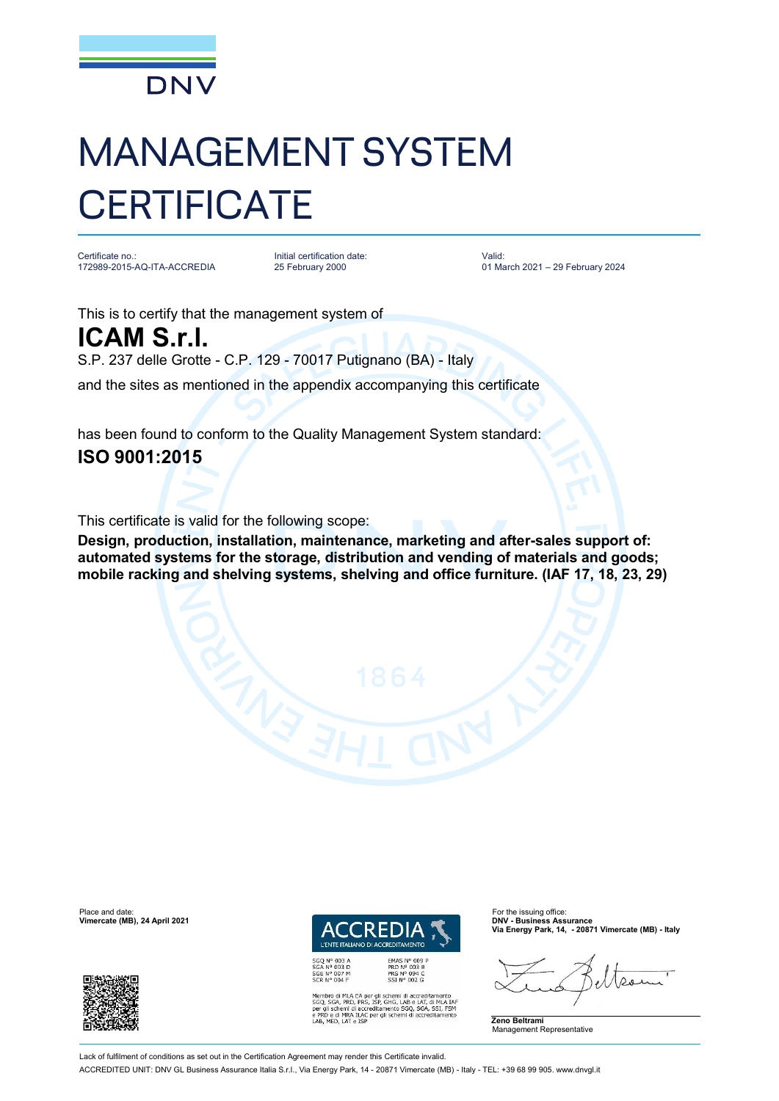

## MANAGEMENT SYSTEM **CERTIFICATE**

Certificate no.: 172989-2015-AQ-ITA-ACCREDIA

Initial certification date: 25 February 2000

Valid: 01 March 2021 – 29 February 2024

This is to certify that the management system of

**ICAM S.r.l.** S.P. 237 delle Grotte - C.P. 129 - 70017 Putignano (BA) - Italy

and the sites as mentioned in the appendix accompanying this certificate

has been found to conform to the Quality Management System standard:

## **ISO 9001:2015**

This certificate is valid for the following scope:

**Design, production, installation, maintenance, marketing and after-sales support of: automated systems for the storage, distribution and vending of materials and goods; mobile racking and shelving systems, shelving and office furniture. (IAF 17, 18, 23, 29)**





Membro di MLA EA per gli schemi di accreditamento<br>SGO, SGA, PRD, PRS, ISP, GHG, LAB e LAT, di MLA IAT<br>per gli schemi di accreditamento SGO, SGA, SSI, FSM<br>e PRD e di MRA ILAC per gli schemi di accreditamento<br>LAB, MED, LAT e

REDITAMENTO

EMAS N° 009<br>PRD N° 003 B<br>PRS N° 094 C<br>SSI N° 002 G

**Via Energy Park, 14, - 20871 Vimercate (MB) - Italy**

**Zeno Beltrami** Management Representative

Lack of fulfilment of conditions as set out in the Certification Agreement may render this Certificate invalid

ACCREDITED UNIT: DNV GL Business Assurance Italia S.r.l., Via Energy Park, 14 - 20871 Vimercate (MB) - Italy - TEL: +39 68 99 905. [www.dnvgl.it](http://www.dnvgl.it)

*I'ENTE ITALIANO DI ACC*